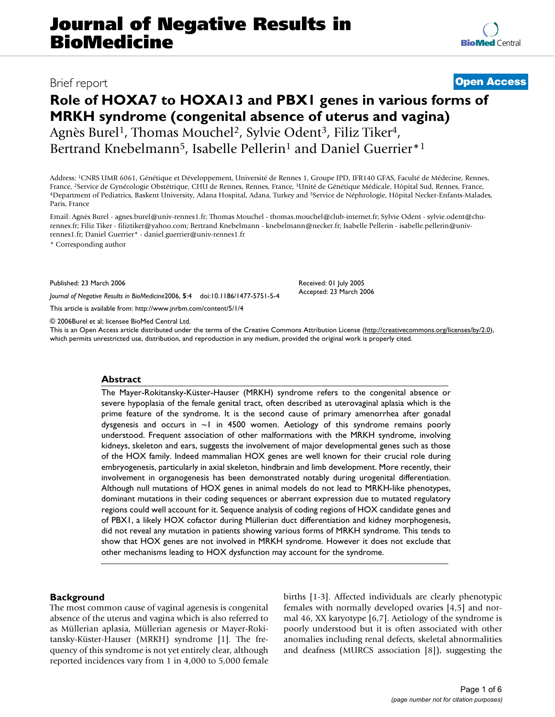# **Role of HOXA7 to HOXA13 and PBX1 genes in various forms of MRKH syndrome (congenital absence of uterus and vagina)** Agnès Burel<sup>1</sup>, Thomas Mouchel<sup>2</sup>, Sylvie Odent<sup>3</sup>, Filiz Tiker<sup>4</sup>, Bertrand Knebelmann<sup>5</sup>, Isabelle Pellerin<sup>1</sup> and Daniel Guerrier<sup>\*1</sup>

Address: 1CNRS UMR 6061, Génétique et Développement, Université de Rennes 1, Groupe IPD, IFR140 GFAS, Faculté de Médecine, Rennes, France, <sup>2</sup>Service de Gynécologie Obstétrique, CHU de Rennes, Rennes, France, <sup>3</sup>Unité de Génétique Médicale, Hôpital Sud, Rennes, France,<br><sup>4</sup>Department of Pediatrics, Baskent University, Adana Hospital, Adana, Turkey and Paris, France

Email: Agnès Burel - agnes.burel@univ-rennes1.fr; Thomas Mouchel - thomas.mouchel@club-internet.fr; Sylvie Odent - sylvie.odent@churennes.fr; Filiz Tiker - filiztiker@yahoo.com; Bertrand Knebelmann - knebelmann@necker.fr; Isabelle Pellerin - isabelle.pellerin@univrennes1.fr; Daniel Guerrier\* - daniel.guerrier@univ-rennes1.fr

\* Corresponding author

Published: 23 March 2006

*Journal of Negative Results in BioMedicine*2006, **5**:4 doi:10.1186/1477-5751-5-4

[This article is available from: http://www.jnrbm.com/content/5/1/4](http://www.jnrbm.com/content/5/1/4)

© 2006Burel et al; licensee BioMed Central Ltd.

This is an Open Access article distributed under the terms of the Creative Commons Attribution License [\(http://creativecommons.org/licenses/by/2.0\)](http://creativecommons.org/licenses/by/2.0), which permits unrestricted use, distribution, and reproduction in any medium, provided the original work is properly cited.

#### **Abstract**

The Mayer-Rokitansky-Küster-Hauser (MRKH) syndrome refers to the congenital absence or severe hypoplasia of the female genital tract, often described as uterovaginal aplasia which is the prime feature of the syndrome. It is the second cause of primary amenorrhea after gonadal dysgenesis and occurs in  $\sim$  1 in 4500 women. Aetiology of this syndrome remains poorly understood. Frequent association of other malformations with the MRKH syndrome, involving kidneys, skeleton and ears, suggests the involvement of major developmental genes such as those of the HOX family. Indeed mammalian HOX genes are well known for their crucial role during embryogenesis, particularly in axial skeleton, hindbrain and limb development. More recently, their involvement in organogenesis has been demonstrated notably during urogenital differentiation. Although null mutations of HOX genes in animal models do not lead to MRKH-like phenotypes, dominant mutations in their coding sequences or aberrant expression due to mutated regulatory regions could well account for it. Sequence analysis of coding regions of HOX candidate genes and of PBX1, a likely HOX cofactor during Müllerian duct differentiation and kidney morphogenesis, did not reveal any mutation in patients showing various forms of MRKH syndrome. This tends to show that HOX genes are not involved in MRKH syndrome. However it does not exclude that other mechanisms leading to HOX dysfunction may account for the syndrome.

### **Background**

The most common cause of vaginal agenesis is congenital absence of the uterus and vagina which is also referred to as Müllerian aplasia, Müllerian agenesis or Mayer-Rokitansky-Küster-Hauser (MRKH) syndrome [1]. The frequency of this syndrome is not yet entirely clear, although reported incidences vary from 1 in 4,000 to 5,000 female births [1-3]. Affected individuals are clearly phenotypic females with normally developed ovaries [4,5] and normal 46, XX karyotype [6,7]. Aetiology of the syndrome is poorly understood but it is often associated with other anomalies including renal defects, skeletal abnormalities and deafness (MURCS association [8]), suggesting the

Received: 01 July 2005 Accepted: 23 March 2006

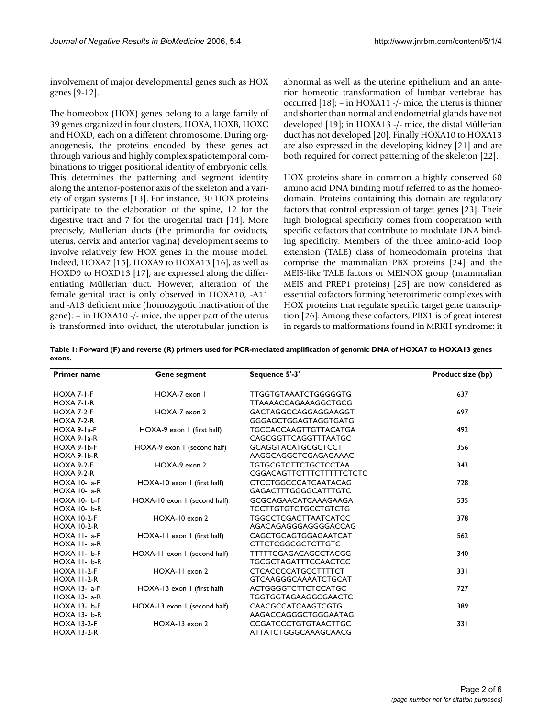involvement of major developmental genes such as HOX genes [9-12].

The homeobox (HOX) genes belong to a large family of 39 genes organized in four clusters, HOXA, HOXB, HOXC and HOXD, each on a different chromosome. During organogenesis, the proteins encoded by these genes act through various and highly complex spatiotemporal combinations to trigger positional identity of embryonic cells. This determines the patterning and segment identity along the anterior-posterior axis of the skeleton and a variety of organ systems [13]. For instance, 30 HOX proteins participate to the elaboration of the spine, 12 for the digestive tract and 7 for the urogenital tract [14]. More precisely, Müllerian ducts (the primordia for oviducts, uterus, cervix and anterior vagina) development seems to involve relatively few HOX genes in the mouse model. Indeed, HOXA7 [15], HOXA9 to HOXA13 [16], as well as HOXD9 to HOXD13 [17], are expressed along the differentiating Müllerian duct. However, alteration of the female genital tract is only observed in HOXA10, -A11 and -A13 deficient mice (homozygotic inactivation of the gene): – in HOXA10 -/- mice, the upper part of the uterus is transformed into oviduct, the uterotubular junction is abnormal as well as the uterine epithelium and an anterior homeotic transformation of lumbar vertebrae has occurred [18]; – in HOXA11 -/- mice, the uterus is thinner and shorter than normal and endometrial glands have not developed [19]; in HOXA13 -/- mice, the distal Müllerian duct has not developed [20]. Finally HOXA10 to HOXA13 are also expressed in the developing kidney [21] and are both required for correct patterning of the skeleton [22].

HOX proteins share in common a highly conserved 60 amino acid DNA binding motif referred to as the homeodomain. Proteins containing this domain are regulatory factors that control expression of target genes [23]. Their high biological specificity comes from cooperation with specific cofactors that contribute to modulate DNA binding specificity. Members of the three amino-acid loop extension (TALE) class of homeodomain proteins that comprise the mammalian PBX proteins [24] and the MEIS-like TALE factors or MEINOX group (mammalian MEIS and PREP1 proteins) [25] are now considered as essential cofactors forming heterotrimeric complexes with HOX proteins that regulate specific target gene transcription [26]. Among these cofactors, PBX1 is of great interest in regards to malformations found in MRKH syndrome: it

**Table 1: Forward (F) and reverse (R) primers used for PCR-mediated amplification of genomic DNA of HOXA7 to HOXA13 genes exons.**

| <b>Primer name</b>                       | <b>Gene segment</b>          | Sequence 5'-3'                                                 | Product size (bp) |
|------------------------------------------|------------------------------|----------------------------------------------------------------|-------------------|
| HOXA 7-1-F<br>HOXA 7-1-R                 | HOXA-7 exon I                | <b>TTGGTGTAAATCTGGGGGTG</b><br><b>TTAAAACCAGAAAGGCTGCG</b>     | 637               |
| <b>HOXA 7-2-F</b><br><b>HOXA 7-2-R</b>   | HOXA-7 exon 2                | GACTAGGCCAGGAGGAAGGT<br>GGGAGCTGGAGTAGGTGATG                   | 697               |
| HOXA 9-1a-F<br>HOXA 9-1a-R               | HOXA-9 exon 1 (first half)   | <b>TGCCACCAAGTTGTTACATGA</b><br>CAGCGGTTCAGGTTTAATGC           | 492               |
| HOXA 9-1b-F<br>HOXA 9-1b-R               | HOXA-9 exon 1 (second half)  | <b>GCAGGTACATGCGCTCCT</b><br>AAGGCAGGCTCGAGAGAAAC              | 356               |
| $HOXA 9-2-F$<br><b>HOXA 9-2-R</b>        | HOXA-9 exon 2                | <b>TGTGCGTCTTCTGCTCCTAA</b><br><b>CGGACAGTTCTTTCTTTTTCTCTC</b> | 343               |
| HOXA 10-1a-F<br>HOXA 10-1a-R             | HOXA-10 exon 1 (first half)  | <b>CTCCTGGCCCATCAATACAG</b><br><b>GAGACTTTGGGGCATTTGTC</b>     | 728               |
| HOXA 10-1b-F<br>HOXA 10-1b-R             | HOXA-10 exon 1 (second half) | <b>GCGCAGAACATCAAAGAAGA</b><br><b>TCCTTGTGTCTGCCTGTCTG</b>     | 535               |
| <b>HOXA 10-2-F</b><br><b>HOXA 10-2-R</b> | HOXA-10 exon 2               | <b>TGGCCTCGACTTAATCATCC</b><br>AGACAGAGGGAGGGGACCAG            | 378               |
| HOXA 11-1a-F<br>HOXA 11-1a-R             | HOXA-11 exon 1 (first half)  | CAGCTGCAGTGGAGAATCAT<br><b>CTTCTCGGCGCTCTTGTC</b>              | 562               |
| HOXA II-Ib-F<br>HOXA II-Ib-R             | HOXA-11 exon 1 (second half) | <b>TTTTTCGAGACAGCCTACGG</b><br><b>TGCGCTAGATTTCCAACTCC</b>     | 340               |
| <b>HOXA 11-2-F</b><br><b>HOXA 11-2-R</b> | HOXA-II exon 2               | <b>CTCACCCCATGCCTTTTCT</b><br><b>GTCAAGGGCAAAATCTGCAT</b>      | 331               |
| HOXA 13-1a-F<br>HOXA 13-1a-R             | HOXA-13 exon 1 (first half)  | <b>ACTGGGGTCTTCTCCATGC</b><br>TGGTGGTAGAAGGCGAACTC             | 727               |
| <b>HOXA 13-1b-F</b><br>HOXA 13-1b-R      | HOXA-13 exon 1 (second half) | CAACGCCATCAAGTCGTG<br>AAGACCAGGGCTGGGAATAG                     | 389               |
| <b>HOXA 13-2-F</b><br><b>HOXA 13-2-R</b> | HOXA-13 exon 2               | <b>CCGATCCCTGTGTAACTTGC</b><br>ATTATCTGGGCAAAGCAACG            | 331               |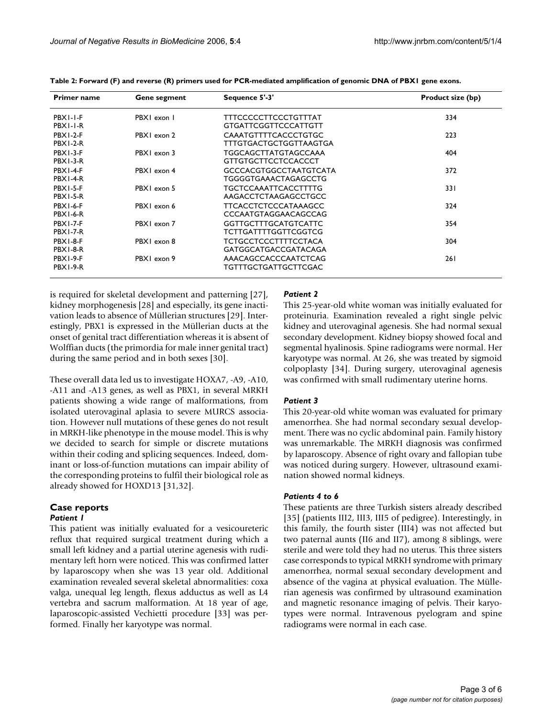| <b>Primer name</b> | Gene segment | Sequence 5'-3'                | Product size (bp) |
|--------------------|--------------|-------------------------------|-------------------|
| PBXI-I-F           | PBXI exon I  | TTTCCCCCTTCCCTGTTTAT          | 334               |
| PBXI-I-R           |              | <b>GTGATTCGGTTCCCATTGTT</b>   |                   |
| <b>PBX1-2-F</b>    | PBXI exon 2  | CAAATGTTTTCACCCTGTGC          | 223               |
| PBX1-2-R           |              | TTTGTGACTGCTGGTTAAGTGA        |                   |
| PBX1-3-F           | PBXI exon 3  | TGGCAGCTTATGTAGCCAAA          | 404               |
| PBX1-3-R           |              | <b>GTTGTGCTTCCTCCACCCT</b>    |                   |
| PBX1-4-F           | PBXI exon 4  | <b>GCCCACGTGGCCTAATGTCATA</b> | 372               |
| PBX1-4-R           |              | TGGGGTGAAACTAGAGCCTG          |                   |
| PBX1-5-F           | PBX1 exon 5  | <b>TGCTCCAAATTCACCTTTTG</b>   | 33 I              |
| PBX1-5-R           |              | AAGACCTCTAAGAGCCTGCC          |                   |
| PBX1-6-F           | PBXI exon 6  | <b>TTCACCTCTCCCCATAAAGCC</b>  | 324               |
| <b>PBX1-6-R</b>    |              | CCCAATGTAGGAACAGCCAG          |                   |
| PBX1-7-F           | PBX1 exon 7  | <b>GGTTGCTTTGCATGTCATTC</b>   | 354               |
| <b>PBX1-7-R</b>    |              | <b>TCTTGATTTTGGTTCGGTCG</b>   |                   |
| PBX1-8-F           | PBXI exon 8  | <b>TCTGCCTCCCTTTTCCTACA</b>   | 304               |
| PBX1-8-R           |              | GATGGCATGACCGATACAGA          |                   |
| PBX1-9-F           | PBXI exon 9  | AAACAGCCACCCAATCTCAG          | 261               |
| PBX1-9-R           |              | TGTTTGCTGATTGCTTCGAC          |                   |

**Table 2: Forward (F) and reverse (R) primers used for PCR-mediated amplification of genomic DNA of PBX1 gene exons.**

is required for skeletal development and patterning [27], kidney morphogenesis [28] and especially, its gene inactivation leads to absence of Müllerian structures [29]. Interestingly, PBX1 is expressed in the Müllerian ducts at the onset of genital tract differentiation whereas it is absent of Wolffian ducts (the primordia for male inner genital tract) during the same period and in both sexes [30].

These overall data led us to investigate HOXA7, -A9, -A10, -A11 and -A13 genes, as well as PBX1, in several MRKH patients showing a wide range of malformations, from isolated uterovaginal aplasia to severe MURCS association. However null mutations of these genes do not result in MRKH-like phenotype in the mouse model. This is why we decided to search for simple or discrete mutations within their coding and splicing sequences. Indeed, dominant or loss-of-function mutations can impair ability of the corresponding proteins to fulfil their biological role as already showed for HOXD13 [31,32].

#### **Case reports** *Patient 1*

This patient was initially evaluated for a vesicoureteric reflux that required surgical treatment during which a small left kidney and a partial uterine agenesis with rudimentary left horn were noticed. This was confirmed latter by laparoscopy when she was 13 year old. Additional examination revealed several skeletal abnormalities: coxa valga, unequal leg length, flexus adductus as well as L4 vertebra and sacrum malformation. At 18 year of age, laparoscopic-assisted Vechietti procedure [33] was performed. Finally her karyotype was normal.

## *Patient 2*

This 25-year-old white woman was initially evaluated for proteinuria. Examination revealed a right single pelvic kidney and uterovaginal agenesis. She had normal sexual secondary development. Kidney biopsy showed focal and segmental hyalinosis. Spine radiograms were normal. Her karyotype was normal. At 26, she was treated by sigmoid colpoplasty [34]. During surgery, uterovaginal agenesis was confirmed with small rudimentary uterine horns.

# *Patient 3*

This 20-year-old white woman was evaluated for primary amenorrhea. She had normal secondary sexual development. There was no cyclic abdominal pain. Family history was unremarkable. The MRKH diagnosis was confirmed by laparoscopy. Absence of right ovary and fallopian tube was noticed during surgery. However, ultrasound examination showed normal kidneys.

### *Patients 4 to 6*

These patients are three Turkish sisters already described [35] (patients III2, III3, III5 of pedigree). Interestingly, in this family, the fourth sister (III4) was not affected but two paternal aunts (II6 and II7), among 8 siblings, were sterile and were told they had no uterus. This three sisters case corresponds to typical MRKH syndrome with primary amenorrhea, normal sexual secondary development and absence of the vagina at physical evaluation. The Müllerian agenesis was confirmed by ultrasound examination and magnetic resonance imaging of pelvis. Their karyotypes were normal. Intravenous pyelogram and spine radiograms were normal in each case.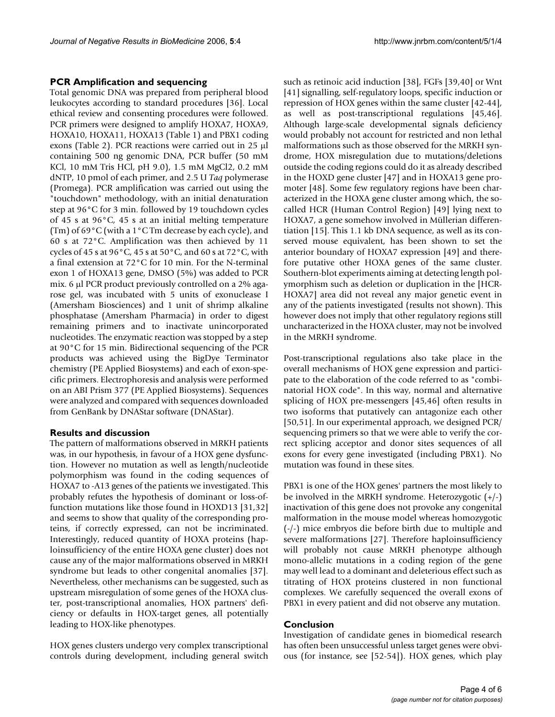# **PCR Amplification and sequencing**

Total genomic DNA was prepared from peripheral blood leukocytes according to standard procedures [36]. Local ethical review and consenting procedures were followed. PCR primers were designed to amplify HOXA7, HOXA9, HOXA10, HOXA11, HOXA13 (Table 1) and PBX1 coding exons (Table 2). PCR reactions were carried out in 25 µl containing 500 ng genomic DNA, PCR buffer (50 mM KCl, 10 mM Tris HCl, pH 9.0), 1.5 mM MgCl2, 0.2 mM dNTP, 10 pmol of each primer, and 2.5 U *Taq* polymerase (Promega). PCR amplification was carried out using the "touchdown" methodology, with an initial denaturation step at 96°C for 3 min. followed by 19 touchdown cycles of 45 s at 96°C, 45 s at an initial melting temperature (Tm) of 69°C (with a 1°C Tm decrease by each cycle), and 60 s at 72°C. Amplification was then achieved by 11 cycles of 45 s at 96 $^{\circ}$ C, 45 s at 50 $^{\circ}$ C, and 60 s at 72 $^{\circ}$ C, with a final extension at 72°C for 10 min. For the N-terminal exon 1 of HOXA13 gene, DMSO (5%) was added to PCR mix. 6 µl PCR product previously controlled on a 2% agarose gel, was incubated with 5 units of exonuclease I (Amersham Biosciences) and 1 unit of shrimp alkaline phosphatase (Amersham Pharmacia) in order to digest remaining primers and to inactivate unincorporated nucleotides. The enzymatic reaction was stopped by a step at 90°C for 15 min. Bidirectional sequencing of the PCR products was achieved using the BigDye Terminator chemistry (PE Applied Biosystems) and each of exon-specific primers. Electrophoresis and analysis were performed on an ABI Prism 377 (PE Applied Biosystems). Sequences were analyzed and compared with sequences downloaded from GenBank by DNAStar software (DNAStar).

# **Results and discussion**

The pattern of malformations observed in MRKH patients was, in our hypothesis, in favour of a HOX gene dysfunction. However no mutation as well as length/nucleotide polymorphism was found in the coding sequences of HOXA7 to -A13 genes of the patients we investigated. This probably refutes the hypothesis of dominant or loss-offunction mutations like those found in HOXD13 [31,32] and seems to show that quality of the corresponding proteins, if correctly expressed, can not be incriminated. Interestingly, reduced quantity of HOXA proteins (haploinsufficiency of the entire HOXA gene cluster) does not cause any of the major malformations observed in MRKH syndrome but leads to other congenital anomalies [37]. Nevertheless, other mechanisms can be suggested, such as upstream misregulation of some genes of the HOXA cluster, post-transcriptional anomalies, HOX partners' deficiency or defaults in HOX-target genes, all potentially leading to HOX-like phenotypes.

HOX genes clusters undergo very complex transcriptional controls during development, including general switch

such as retinoic acid induction [38], FGFs [39,40] or Wnt [41] signalling, self-regulatory loops, specific induction or repression of HOX genes within the same cluster [42-44], as well as post-transcriptional regulations [45,46]. Although large-scale developmental signals deficiency would probably not account for restricted and non lethal malformations such as those observed for the MRKH syndrome, HOX misregulation due to mutations/deletions outside the coding regions could do it as already described in the HOXD gene cluster [47] and in HOXA13 gene promoter [48]. Some few regulatory regions have been characterized in the HOXA gene cluster among which, the socalled HCR (Human Control Region) [49] lying next to HOXA7, a gene somehow involved in Müllerian differentiation [15]. This 1.1 kb DNA sequence, as well as its conserved mouse equivalent, has been shown to set the anterior boundary of HOXA7 expression [49] and therefore putative other HOXA genes of the same cluster. Southern-blot experiments aiming at detecting length polymorphism such as deletion or duplication in the [HCR-HOXA7] area did not reveal any major genetic event in any of the patients investigated (results not shown). This however does not imply that other regulatory regions still uncharacterized in the HOXA cluster, may not be involved in the MRKH syndrome.

Post-transcriptional regulations also take place in the overall mechanisms of HOX gene expression and participate to the elaboration of the code referred to as "combinatorial HOX code". In this way, normal and alternative splicing of HOX pre-messengers [45,46] often results in two isoforms that putatively can antagonize each other [50,51]. In our experimental approach, we designed PCR/ sequencing primers so that we were able to verify the correct splicing acceptor and donor sites sequences of all exons for every gene investigated (including PBX1). No mutation was found in these sites.

PBX1 is one of the HOX genes' partners the most likely to be involved in the MRKH syndrome. Heterozygotic (+/-) inactivation of this gene does not provoke any congenital malformation in the mouse model whereas homozygotic (-/-) mice embryos die before birth due to multiple and severe malformations [27]. Therefore haploinsufficiency will probably not cause MRKH phenotype although mono-allelic mutations in a coding region of the gene may well lead to a dominant and deleterious effect such as titrating of HOX proteins clustered in non functional complexes. We carefully sequenced the overall exons of PBX1 in every patient and did not observe any mutation.

# **Conclusion**

Investigation of candidate genes in biomedical research has often been unsuccessful unless target genes were obvious (for instance, see [52-54]). HOX genes, which play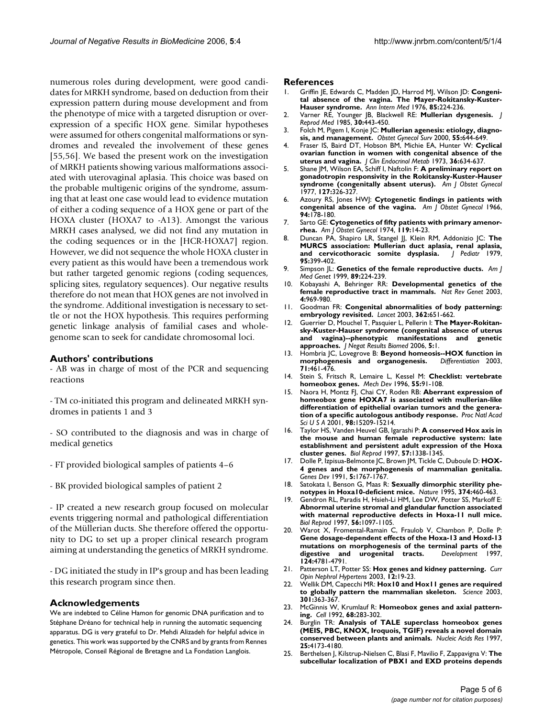numerous roles during development, were good candidates for MRKH syndrome, based on deduction from their expression pattern during mouse development and from the phenotype of mice with a targeted disruption or overexpression of a specific HOX gene. Similar hypotheses were assumed for others congenital malformations or syndromes and revealed the involvement of these genes [55,56]. We based the present work on the investigation of MRKH patients showing various malformations associated with uterovaginal aplasia. This choice was based on the probable multigenic origins of the syndrome, assuming that at least one case would lead to evidence mutation of either a coding sequence of a HOX gene or part of the HOXA cluster (HOXA7 to -A13). Amongst the various MRKH cases analysed, we did not find any mutation in the coding sequences or in the [HCR-HOXA7] region. However, we did not sequence the whole HOXA cluster in every patient as this would have been a tremendous work but rather targeted genomic regions (coding sequences, splicing sites, regulatory sequences). Our negative results therefore do not mean that HOX genes are not involved in the syndrome. Additional investigation is necessary to settle or not the HOX hypothesis. This requires performing genetic linkage analysis of familial cases and wholegenome scan to seek for candidate chromosomal loci.

#### **Authors' contributions**

- AB was in charge of most of the PCR and sequencing reactions

- TM co-initiated this program and delineated MRKH syndromes in patients 1 and 3

- SO contributed to the diagnosis and was in charge of medical genetics

- FT provided biological samples of patients 4–6
- BK provided biological samples of patient 2

- IP created a new research group focused on molecular events triggering normal and pathological differentiation of the Müllerian ducts. She therefore offered the opportunity to DG to set up a proper clinical research program aiming at understanding the genetics of MRKH syndrome.

- DG initiated the study in IP's group and has been leading this research program since then.

#### **Acknowledgements**

We are indebted to Céline Hamon for genomic DNA purification and to Stéphane Dréano for technical help in running the automatic sequencing apparatus. DG is very grateful to Dr. Mehdi Alizadeh for helpful advice in genetics. This work was supported by the CNRS and by grants from Rennes Métropole, Conseil Régional de Bretagne and La Fondation Langlois.

#### **References**

- 1. Griffin JE, Edwards C, Madden JD, Harrod MJ, Wilson JD: **[Congeni](http://www.ncbi.nlm.nih.gov/entrez/query.fcgi?cmd=Retrieve&db=PubMed&dopt=Abstract&list_uids=782313)[tal absence of the vagina. The Mayer-Rokitansky-Kuster-](http://www.ncbi.nlm.nih.gov/entrez/query.fcgi?cmd=Retrieve&db=PubMed&dopt=Abstract&list_uids=782313)[Hauser syndrome.](http://www.ncbi.nlm.nih.gov/entrez/query.fcgi?cmd=Retrieve&db=PubMed&dopt=Abstract&list_uids=782313)** *Ann Intern Med* 1976, **85:**224-236.
- 2. Varner RE, Younger JB, Blackwell RE: **[Mullerian dysgenesis.](http://www.ncbi.nlm.nih.gov/entrez/query.fcgi?cmd=Retrieve&db=PubMed&dopt=Abstract&list_uids=4020785)** *J Reprod Med* 1985, **30:**443-450.
- 3. Folch M, Pigem I, Konje JC: **[Mullerian agenesis: etiology, diagno](http://www.ncbi.nlm.nih.gov/entrez/query.fcgi?cmd=Retrieve&db=PubMed&dopt=Abstract&list_uids=11023205)[sis, and management.](http://www.ncbi.nlm.nih.gov/entrez/query.fcgi?cmd=Retrieve&db=PubMed&dopt=Abstract&list_uids=11023205)** *Obstet Gynecol Surv* 2000, **55:**644-649.
- 4. Fraser IS, Baird DT, Hobson BM, Michie EA, Hunter W: **[Cyclical](http://www.ncbi.nlm.nih.gov/entrez/query.fcgi?cmd=Retrieve&db=PubMed&dopt=Abstract&list_uids=4686370) [ovarian function in women with congenital absence of the](http://www.ncbi.nlm.nih.gov/entrez/query.fcgi?cmd=Retrieve&db=PubMed&dopt=Abstract&list_uids=4686370) [uterus and vagina.](http://www.ncbi.nlm.nih.gov/entrez/query.fcgi?cmd=Retrieve&db=PubMed&dopt=Abstract&list_uids=4686370)** *J Clin Endocrinol Metab* 1973, **36:**634-637.
- 5. Shane JM, Wilson EA, Schiff I, Naftolin F: **[A preliminary report on](http://www.ncbi.nlm.nih.gov/entrez/query.fcgi?cmd=Retrieve&db=PubMed&dopt=Abstract&list_uids=319667) [gonadotropin responsivity in the Rokitansky-Kuster-Hauser](http://www.ncbi.nlm.nih.gov/entrez/query.fcgi?cmd=Retrieve&db=PubMed&dopt=Abstract&list_uids=319667) [syndrome \(congenitally absent uterus\).](http://www.ncbi.nlm.nih.gov/entrez/query.fcgi?cmd=Retrieve&db=PubMed&dopt=Abstract&list_uids=319667)** *Am J Obstet Gynecol* 1977, **127:**326-327.
- 6. Azoury RS, Jones HWJ: **[Cytogenetic findings in patients with](http://www.ncbi.nlm.nih.gov/entrez/query.fcgi?cmd=Retrieve&db=PubMed&dopt=Abstract&list_uids=5900654) [congenital absence of the vagina.](http://www.ncbi.nlm.nih.gov/entrez/query.fcgi?cmd=Retrieve&db=PubMed&dopt=Abstract&list_uids=5900654)** *Am J Obstet Gynecol* 1966, **94:**178-180.
- 7. Sarto GE: **[Cytogenetics of fifty patients with primary amenor](http://www.ncbi.nlm.nih.gov/entrez/query.fcgi?cmd=Retrieve&db=PubMed&dopt=Abstract&list_uids=4820908)[rhea.](http://www.ncbi.nlm.nih.gov/entrez/query.fcgi?cmd=Retrieve&db=PubMed&dopt=Abstract&list_uids=4820908)** *Am J Obstet Gynecol* 1974, **119:**14-23.
- 8. Duncan PA, Shapiro LR, Stangel JJ, Klein RM, Addonizio JC: **[The](http://www.ncbi.nlm.nih.gov/entrez/query.fcgi?cmd=Retrieve&db=PubMed&dopt=Abstract&list_uids=469663) [MURCS association: Mullerian duct aplasia, renal aplasia,](http://www.ncbi.nlm.nih.gov/entrez/query.fcgi?cmd=Retrieve&db=PubMed&dopt=Abstract&list_uids=469663)** [and cervicothoracic somite dysplasia.](http://www.ncbi.nlm.nih.gov/entrez/query.fcgi?cmd=Retrieve&db=PubMed&dopt=Abstract&list_uids=469663) **95:**399-402.
- 9. Simpson JL: **[Genetics of the female reproductive ducts.](http://www.ncbi.nlm.nih.gov/entrez/query.fcgi?cmd=Retrieve&db=PubMed&dopt=Abstract&list_uids=10727998)** *Am J Med Genet* 1999, **89:**224-239.
- 10. Kobayashi A, Behringer RR: **[Developmental genetics of the](http://www.ncbi.nlm.nih.gov/entrez/query.fcgi?cmd=Retrieve&db=PubMed&dopt=Abstract&list_uids=14631357) [female reproductive tract in mammals.](http://www.ncbi.nlm.nih.gov/entrez/query.fcgi?cmd=Retrieve&db=PubMed&dopt=Abstract&list_uids=14631357)** *Nat Rev Genet* 2003, **4:**969-980.
- 11. Goodman FR: **[Congenital abnormalities of body patterning:](http://www.ncbi.nlm.nih.gov/entrez/query.fcgi?cmd=Retrieve&db=PubMed&dopt=Abstract&list_uids=12944067) [embryology revisited.](http://www.ncbi.nlm.nih.gov/entrez/query.fcgi?cmd=Retrieve&db=PubMed&dopt=Abstract&list_uids=12944067)** *Lancet* 2003, **362:**651-662.
- 12. Guerrier D, Mouchel T, Pasquier L, Pellerin I: **[The Mayer-Rokitan](http://www.ncbi.nlm.nih.gov/entrez/query.fcgi?cmd=Retrieve&db=PubMed&dopt=Abstract&list_uids=16441882)sky-Kuster-Hauser syndrome (congenital absence of uterus [and vagina\)--phenotypic manifestations and genetic](http://www.ncbi.nlm.nih.gov/entrez/query.fcgi?cmd=Retrieve&db=PubMed&dopt=Abstract&list_uids=16441882) [approaches.](http://www.ncbi.nlm.nih.gov/entrez/query.fcgi?cmd=Retrieve&db=PubMed&dopt=Abstract&list_uids=16441882)** *J Negat Results Biomed* 2006, **5:**1.
- 13. Hombria JC, Lovegrove B: **[Beyond homeosis--HOX function in](http://www.ncbi.nlm.nih.gov/entrez/query.fcgi?cmd=Retrieve&db=PubMed&dopt=Abstract&list_uids=14641327)** [morphogenesis and organogenesis.](http://www.ncbi.nlm.nih.gov/entrez/query.fcgi?cmd=Retrieve&db=PubMed&dopt=Abstract&list_uids=14641327) **71:**461-476.
- 14. Stein S, Fritsch R, Lemaire L, Kessel M: **[Checklist: vertebrate](http://www.ncbi.nlm.nih.gov/entrez/query.fcgi?cmd=Retrieve&db=PubMed&dopt=Abstract&list_uids=8734502) [homeobox genes.](http://www.ncbi.nlm.nih.gov/entrez/query.fcgi?cmd=Retrieve&db=PubMed&dopt=Abstract&list_uids=8734502)** *Mech Dev* 1996, **55:**91-108.
- 15. Naora H, Montz FJ, Chai CY, Roden RB: **[Aberrant expression of](http://www.ncbi.nlm.nih.gov/entrez/query.fcgi?cmd=Retrieve&db=PubMed&dopt=Abstract&list_uids=11742062) homeobox gene HOXA7 is associated with mullerian-like [differentiation of epithelial ovarian tumors and the genera](http://www.ncbi.nlm.nih.gov/entrez/query.fcgi?cmd=Retrieve&db=PubMed&dopt=Abstract&list_uids=11742062)[tion of a specific autologous antibody response.](http://www.ncbi.nlm.nih.gov/entrez/query.fcgi?cmd=Retrieve&db=PubMed&dopt=Abstract&list_uids=11742062)** *Proc Natl Acad Sci U S A* 2001, **98:**15209-15214.
- 16. Taylor HS, Vanden Heuvel GB, Igarashi P: **[A conserved Hox axis in](http://www.ncbi.nlm.nih.gov/entrez/query.fcgi?cmd=Retrieve&db=PubMed&dopt=Abstract&list_uids=9408238) the mouse and human female reproductive system: late [establishment and persistent adult expression of the Hoxa](http://www.ncbi.nlm.nih.gov/entrez/query.fcgi?cmd=Retrieve&db=PubMed&dopt=Abstract&list_uids=9408238) [cluster genes.](http://www.ncbi.nlm.nih.gov/entrez/query.fcgi?cmd=Retrieve&db=PubMed&dopt=Abstract&list_uids=9408238)** *Biol Reprod* 1997, **57:**1338-1345.
- 17. Dolle P, Izpisua-Belmonte JC, Brown JM, Tickle C, Duboule D: **[HOX-](http://www.ncbi.nlm.nih.gov/entrez/query.fcgi?cmd=Retrieve&db=PubMed&dopt=Abstract&list_uids=1680771)[4 genes and the morphogenesis of mammalian genitalia.](http://www.ncbi.nlm.nih.gov/entrez/query.fcgi?cmd=Retrieve&db=PubMed&dopt=Abstract&list_uids=1680771)** *Genes Dev* 1991, **5:**1767-1767.
- 18. Satokata I, Benson G, Maas R: **[Sexually dimorphic sterility phe](http://www.ncbi.nlm.nih.gov/entrez/query.fcgi?cmd=Retrieve&db=PubMed&dopt=Abstract&list_uids=7700356)[notypes in Hoxa10-deficient mice.](http://www.ncbi.nlm.nih.gov/entrez/query.fcgi?cmd=Retrieve&db=PubMed&dopt=Abstract&list_uids=7700356)** *Nature* 1995, **374:**460-463.
- 19. Gendron RL, Paradis H, Hsieh-Li HM, Lee DW, Potter SS, Markoff E: **Abnormal uterine stromal and glandular function associated [with maternal reproductive defects in Hoxa-11 null mice.](http://www.ncbi.nlm.nih.gov/entrez/query.fcgi?cmd=Retrieve&db=PubMed&dopt=Abstract&list_uids=9160706)** *Biol Reprod* 1997, **56:**1097-1105.
- 20. Warot X, Fromental-Ramain C, Fraulob V, Chambon P, Dolle P: **Gene dosage-dependent effects of the Hoxa-13 and Hoxd-13 [mutations on morphogenesis of the terminal parts of the](http://www.ncbi.nlm.nih.gov/entrez/query.fcgi?cmd=Retrieve&db=PubMed&dopt=Abstract&list_uids=9428414)** [digestive and urogenital tracts.](http://www.ncbi.nlm.nih.gov/entrez/query.fcgi?cmd=Retrieve&db=PubMed&dopt=Abstract&list_uids=9428414) **124:**4781-4791.
- 21. Patterson LT, Potter SS: **[Hox genes and kidney patterning.](http://www.ncbi.nlm.nih.gov/entrez/query.fcgi?cmd=Retrieve&db=PubMed&dopt=Abstract&list_uids=12496661)** *Curr Opin Nephrol Hypertens* 2003, **12:**19-23.
- 22. Wellik DM, Capecchi MR: **[Hox10 and Hox11 genes are required](http://www.ncbi.nlm.nih.gov/entrez/query.fcgi?cmd=Retrieve&db=PubMed&dopt=Abstract&list_uids=12869760) [to globally pattern the mammalian skeleton.](http://www.ncbi.nlm.nih.gov/entrez/query.fcgi?cmd=Retrieve&db=PubMed&dopt=Abstract&list_uids=12869760)** *Science* 2003, **301:**363-367.
- 23. McGinnis W, Krumlauf R: **[Homeobox genes and axial pattern](http://www.ncbi.nlm.nih.gov/entrez/query.fcgi?cmd=Retrieve&db=PubMed&dopt=Abstract&list_uids=1346368)[ing.](http://www.ncbi.nlm.nih.gov/entrez/query.fcgi?cmd=Retrieve&db=PubMed&dopt=Abstract&list_uids=1346368)** *Cell* 1992, **68:**283-302.
- 24. Burglin TR: **[Analysis of TALE superclass homeobox genes](http://www.ncbi.nlm.nih.gov/entrez/query.fcgi?cmd=Retrieve&db=PubMed&dopt=Abstract&list_uids=9336443) [\(MEIS, PBC, KNOX, Iroquois, TGIF\) reveals a novel domain](http://www.ncbi.nlm.nih.gov/entrez/query.fcgi?cmd=Retrieve&db=PubMed&dopt=Abstract&list_uids=9336443) [conserved between plants and animals.](http://www.ncbi.nlm.nih.gov/entrez/query.fcgi?cmd=Retrieve&db=PubMed&dopt=Abstract&list_uids=9336443)** *Nucleic Acids Res* 1997, **25:**4173-4180.
- 25. Berthelsen J, Kilstrup-Nielsen C, Blasi F, Mavilio F, Zappavigna V: **[The](http://www.ncbi.nlm.nih.gov/entrez/query.fcgi?cmd=Retrieve&db=PubMed&dopt=Abstract&list_uids=10215622) [subcellular localization of PBX1 and EXD proteins depends](http://www.ncbi.nlm.nih.gov/entrez/query.fcgi?cmd=Retrieve&db=PubMed&dopt=Abstract&list_uids=10215622)**